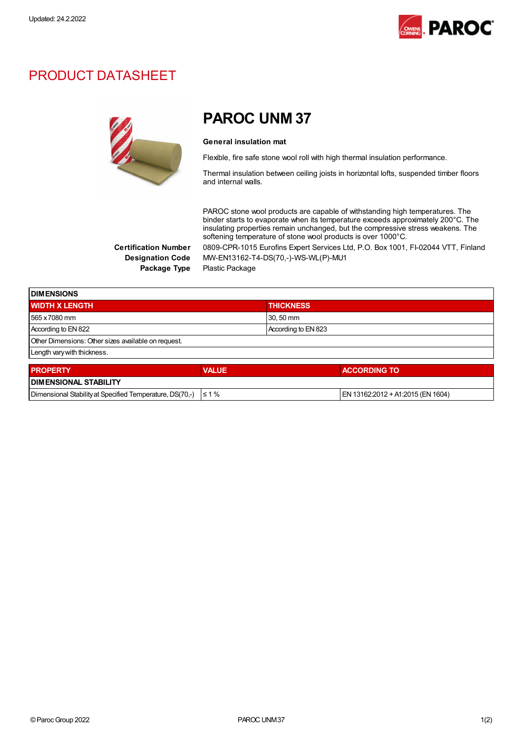

## PRODUCT DATASHEET



## PAROC UNM 37

## General insulation mat

Flexible, fire safe stone wool roll with high thermal insulation performance.

Thermal insulation between ceiling joists in horizontal lofts, suspended timber floors and internal walls.

PAROC stone wool products are capable of withstanding high temperatures. The binder starts to evaporate when its temperature exceeds approximately 200°C. The insulating properties remain unchanged, but the compressive stress weakens. The softening temperature of stone wool products is over 1000°C. Certification Number 0809-CPR-1015 Eurofins Expert Services Ltd, P.O. Box 1001, FI-02044 VTT, Finland

Designation Code MW-EN13162-T4-DS(70,-)-WS-WL(P)-MU1 Package Type Plastic Package

| <b>DIMENSIONS</b>                                   |              |                     |                     |
|-----------------------------------------------------|--------------|---------------------|---------------------|
| <b>WIDTH X LENGTH</b>                               |              | <b>THICKNESS</b>    |                     |
| 565 x 7080 mm                                       |              | 30, 50 mm           |                     |
| According to EN 822                                 |              | According to EN 823 |                     |
| Other Dimensions: Other sizes available on request. |              |                     |                     |
| Length vary with thickness.                         |              |                     |                     |
| <b>PROPERTY</b>                                     | <b>VALUE</b> |                     | <b>ACCORDING TO</b> |
| INIMENSIONAL STARILITY                              |              |                     |                     |

| <b>I DIMENSIONAL STABILITY</b>                           |            |                                    |
|----------------------------------------------------------|------------|------------------------------------|
| Dimensional Stability at Specified Temperature, DS(70,-) | $\leq 1\%$ | IEN 13162:2012 + A1:2015 (EN 1604) |